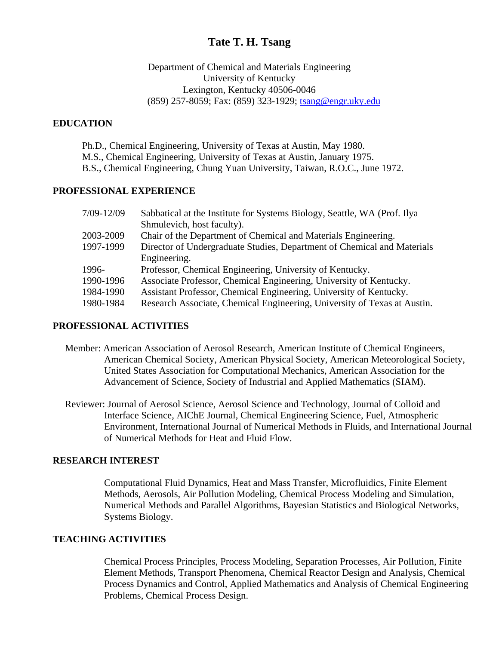# **Tate T. H. Tsang**

Department of Chemical and Materials Engineering University of Kentucky Lexington, Kentucky 40506-0046 (859) 257-8059; Fax: (859) 323-1929; tsang@engr.uky.edu

#### **EDUCATION**

Ph.D., Chemical Engineering, University of Texas at Austin, May 1980. M.S., Chemical Engineering, University of Texas at Austin, January 1975. B.S., Chemical Engineering, Chung Yuan University, Taiwan, R.O.C., June 1972.

#### **PROFESSIONAL EXPERIENCE**

| $7/09 - 12/09$ | Sabbatical at the Institute for Systems Biology, Seattle, WA (Prof. Ilya |
|----------------|--------------------------------------------------------------------------|
|                | Shmulevich, host faculty).                                               |
| 2003-2009      | Chair of the Department of Chemical and Materials Engineering.           |
| 1997-1999      | Director of Undergraduate Studies, Department of Chemical and Materials  |
|                | Engineering.                                                             |
| 1996-          | Professor, Chemical Engineering, University of Kentucky.                 |
| 1990-1996      | Associate Professor, Chemical Engineering, University of Kentucky.       |
| 1984-1990      | Assistant Professor, Chemical Engineering, University of Kentucky.       |
| 1980-1984      | Research Associate, Chemical Engineering, University of Texas at Austin. |

#### **PROFESSIONAL ACTIVITIES**

- Member: American Association of Aerosol Research, American Institute of Chemical Engineers, American Chemical Society, American Physical Society, American Meteorological Society, United States Association for Computational Mechanics, American Association for the Advancement of Science, Society of Industrial and Applied Mathematics (SIAM).
- Reviewer: Journal of Aerosol Science, Aerosol Science and Technology, Journal of Colloid and Interface Science, AIChE Journal, Chemical Engineering Science, Fuel, Atmospheric Environment, International Journal of Numerical Methods in Fluids, and International Journal of Numerical Methods for Heat and Fluid Flow.

#### **RESEARCH INTEREST**

Computational Fluid Dynamics, Heat and Mass Transfer, Microfluidics, Finite Element Methods, Aerosols, Air Pollution Modeling, Chemical Process Modeling and Simulation, Numerical Methods and Parallel Algorithms, Bayesian Statistics and Biological Networks, Systems Biology.

### **TEACHING ACTIVITIES**

Chemical Process Principles, Process Modeling, Separation Processes, Air Pollution, Finite Element Methods, Transport Phenomena, Chemical Reactor Design and Analysis, Chemical Process Dynamics and Control, Applied Mathematics and Analysis of Chemical Engineering Problems, Chemical Process Design.